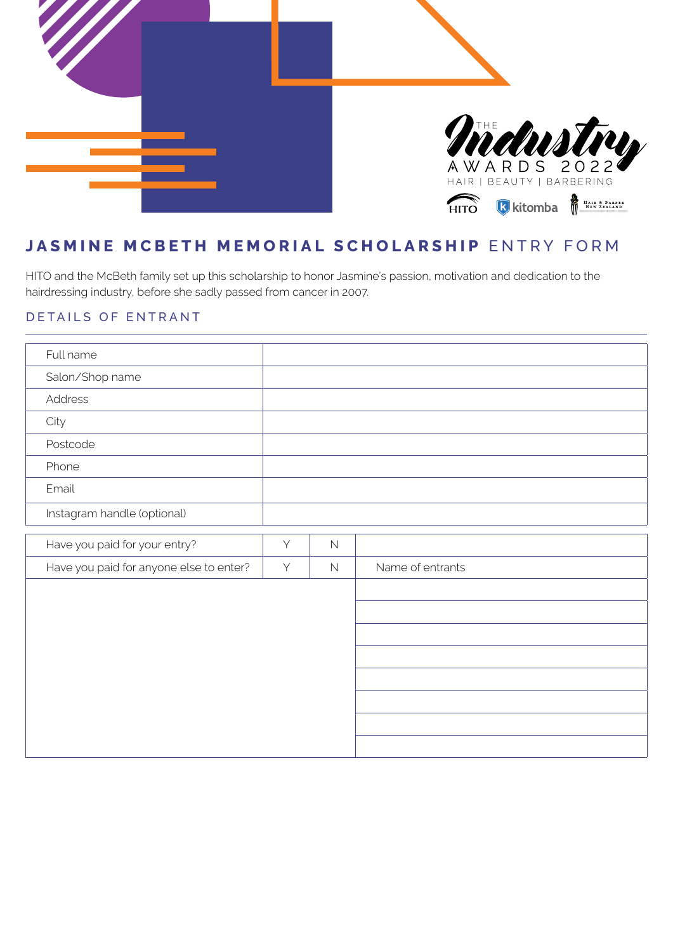

# **JASMINE MCBETH MEMORIAL SCHOLARSHIP** ENTRY FORM

HITO and the McBeth family set up this scholarship to honor Jasmine's passion, motivation and dedication to the hairdressing industry, before she sadly passed from cancer in 2007.

### DETAILS OF ENTRANT

| Full name                               |   |             |                  |
|-----------------------------------------|---|-------------|------------------|
| Salon/Shop name                         |   |             |                  |
| Address                                 |   |             |                  |
| City                                    |   |             |                  |
| Postcode                                |   |             |                  |
| Phone                                   |   |             |                  |
| Email                                   |   |             |                  |
| Instagram handle (optional)             |   |             |                  |
| Have you paid for your entry?           | Y | $\mathbb N$ |                  |
|                                         |   |             |                  |
| Have you paid for anyone else to enter? | Y | $\mathbb N$ | Name of entrants |
|                                         |   |             |                  |
|                                         |   |             |                  |
|                                         |   |             |                  |
|                                         |   |             |                  |
|                                         |   |             |                  |
|                                         |   |             |                  |
|                                         |   |             |                  |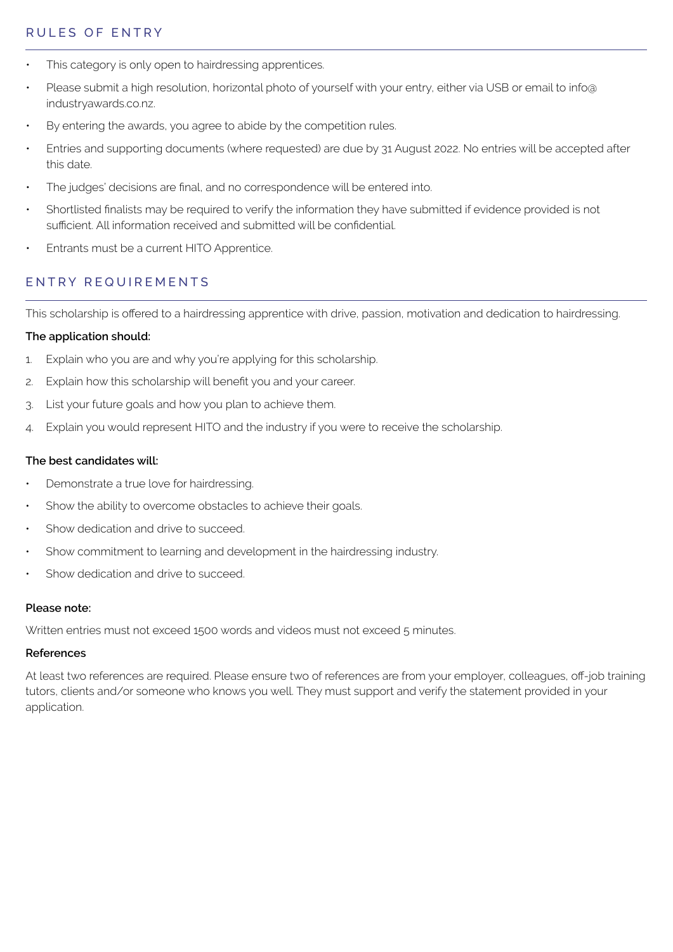### RULES OF ENTRY

- This category is only open to hairdressing apprentices.
- Please submit a high resolution, horizontal photo of yourself with your entry, either via USB or email to info@ industryawards.co.nz.
- By entering the awards, you agree to abide by the competition rules.
- Entries and supporting documents (where requested) are due by 31 August 2022. No entries will be accepted after this date.
- The judges' decisions are final, and no correspondence will be entered into.
- Shortlisted finalists may be required to verify the information they have submitted if evidence provided is not sufficient. All information received and submitted will be confidential.
- Entrants must be a current HITO Apprentice.

### ENTRY REQUIREMENTS

This scholarship is offered to a hairdressing apprentice with drive, passion, motivation and dedication to hairdressing.

#### **The application should:**

- 1. Explain who you are and why you're applying for this scholarship.
- 2. Explain how this scholarship will benefit you and your career.
- 3. List your future goals and how you plan to achieve them.
- 4. Explain you would represent HITO and the industry if you were to receive the scholarship.

#### **The best candidates will:**

- Demonstrate a true love for hairdressing.
- Show the ability to overcome obstacles to achieve their goals.
- Show dedication and drive to succeed.
- Show commitment to learning and development in the hairdressing industry.
- Show dedication and drive to succeed.

#### **Please note:**

Written entries must not exceed 1500 words and videos must not exceed 5 minutes.

### **References**

At least two references are required. Please ensure two of references are from your employer, colleagues, off-job training tutors, clients and/or someone who knows you well. They must support and verify the statement provided in your application.